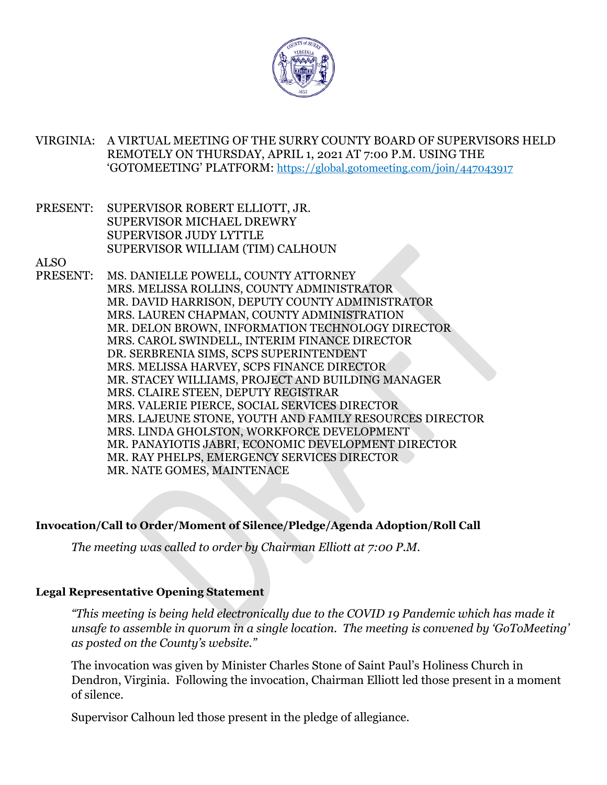

VIRGINIA: A VIRTUAL MEETING OF THE SURRY COUNTY BOARD OF SUPERVISORS HELD REMOTELY ON THURSDAY, APRIL 1, 2021 AT 7:00 P.M. USING THE 'GOTOMEETING' PLATFORM: https://global.gotomeeting.com/join/447043917

PRESENT: SUPERVISOR ROBERT ELLIOTT, JR. SUPERVISOR MICHAEL DREWRY SUPERVISOR JUDY LYTTLE SUPERVISOR WILLIAM (TIM) CALHOUN

ALSO

PRESENT: MS. DANIELLE POWELL, COUNTY ATTORNEY MRS. MELISSA ROLLINS, COUNTY ADMINISTRATOR MR. DAVID HARRISON, DEPUTY COUNTY ADMINISTRATOR MRS. LAUREN CHAPMAN, COUNTY ADMINISTRATION MR. DELON BROWN, INFORMATION TECHNOLOGY DIRECTOR MRS. CAROL SWINDELL, INTERIM FINANCE DIRECTOR DR. SERBRENIA SIMS, SCPS SUPERINTENDENT MRS. MELISSA HARVEY, SCPS FINANCE DIRECTOR MR. STACEY WILLIAMS, PROJECT AND BUILDING MANAGER MRS. CLAIRE STEEN, DEPUTY REGISTRAR MRS. VALERIE PIERCE, SOCIAL SERVICES DIRECTOR MRS. LAJEUNE STONE, YOUTH AND FAMILY RESOURCES DIRECTOR MRS. LINDA GHOLSTON, WORKFORCE DEVELOPMENT MR. PANAYIOTIS JABRI, ECONOMIC DEVELOPMENT DIRECTOR MR. RAY PHELPS, EMERGENCY SERVICES DIRECTOR MR. NATE GOMES, MAINTENACE

#### **Invocation/Call to Order/Moment of Silence/Pledge/Agenda Adoption/Roll Call**

*The meeting was called to order by Chairman Elliott at 7:00 P.M.*

#### **Legal Representative Opening Statement**

*"This meeting is being held electronically due to the COVID 19 Pandemic which has made it unsafe to assemble in quorum in a single location. The meeting is convened by 'GoToMeeting' as posted on the County's website."* 

The invocation was given by Minister Charles Stone of Saint Paul's Holiness Church in Dendron, Virginia. Following the invocation, Chairman Elliott led those present in a moment of silence.

Supervisor Calhoun led those present in the pledge of allegiance.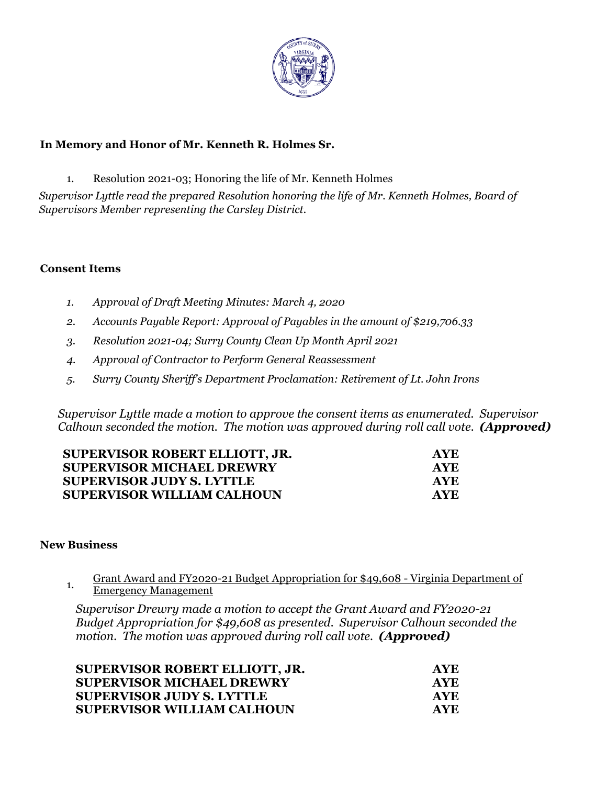

### **In Memory and Honor of Mr. Kenneth R. Holmes Sr.**

1. Resolution 2021-03; Honoring the life of Mr. Kenneth Holmes

*Supervisor Lyttle read the prepared Resolution honoring the life of Mr. Kenneth Holmes, Board of Supervisors Member representing the Carsley District.*

#### **Consent Items**

- *1. Approval of Draft Meeting Minutes: March 4, 2020*
- *2. Accounts Payable Report: Approval of Payables in the amount of \$219,706.33*
- *3. Resolution 2021-04; Surry County Clean Up Month April 2021*
- *4. Approval of Contractor to Perform General Reassessment*
- *5. Surry County Sheriff's Department Proclamation: Retirement of Lt. John Irons*

*Supervisor Lyttle made a motion to approve the consent items as enumerated. Supervisor Calhoun seconded the motion. The motion was approved during roll call vote. (Approved)* 

| AYE. |
|------|
| AYE. |
| AYE. |
| AYE. |
|      |

#### **New Business**

1. Grant Award and FY2020-21 Budget Appropriation for \$49,608 - Virginia Department of Emergency Management

*Supervisor Drewry made a motion to accept the Grant Award and FY2020-21 Budget Appropriation for \$49,608 as presented. Supervisor Calhoun seconded the motion. The motion was approved during roll call vote. (Approved)* 

| SUPERVISOR ROBERT ELLIOTT, JR.    | AYE. |
|-----------------------------------|------|
| <b>SUPERVISOR MICHAEL DREWRY</b>  | AYE. |
| <b>SUPERVISOR JUDY S. LYTTLE</b>  | AYE. |
| <b>SUPERVISOR WILLIAM CALHOUN</b> | AYE. |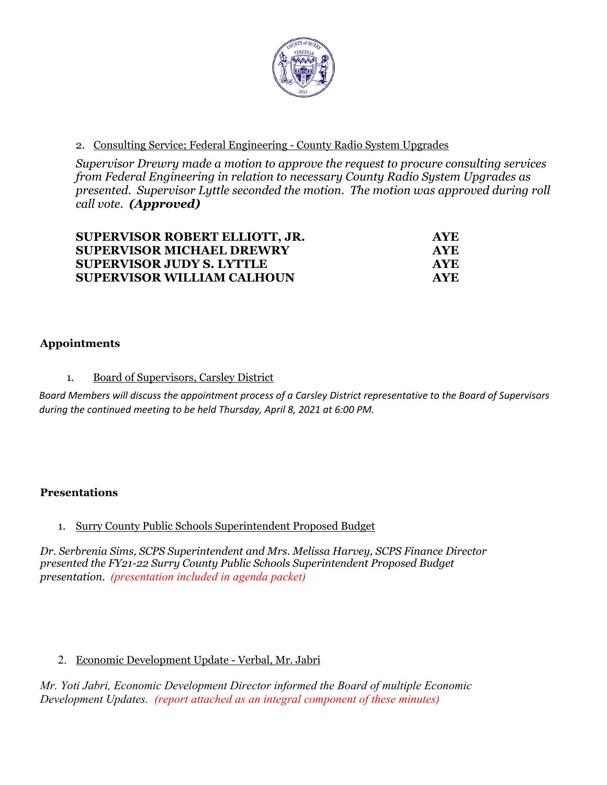

### 2. Consulting Service; Federal Engineering - County Radio System Upgrades

*Supervisor Drewry made a motion to approve the request to procure consulting services from Federal Engineering in relation to necessary County Radio System Upgrades as presented. Supervisor Lyttle seconded the motion. The motion was approved during roll call vote. (Approved)* 

| <b>SUPERVISOR ROBERT ELLIOTT, JR.</b> | AYE.       |
|---------------------------------------|------------|
| <b>SUPERVISOR MICHAEL DREWRY</b>      | <b>AYE</b> |
| <b>SUPERVISOR JUDY S. LYTTLE</b>      | <b>AYE</b> |
| <b>SUPERVISOR WILLIAM CALHOUN</b>     | AYE.       |

### **Appointments**

#### 1. Board of Supervisors, Carsley District

*Board Members will discuss the appointment process of a Carsley District representative to the Board of Supervisors during the continued meeting to be held Thursday, April 8, 2021 at 6:00 PM.* 

#### **Presentations**

#### 1. Surry County Public Schools Superintendent Proposed Budget

*Dr. Serbrenia Sims, SCPS Superintendent and Mrs. Melissa Harvey, SCPS Finance Director presented the FY21-22 Surry County Public Schools Superintendent Proposed Budget presentation. (presentation included in agenda packet)*

#### 2. Economic Development Update - Verbal, Mr. Jabri

*Mr. Yoti Jabri, Economic Development Director informed the Board of multiple Economic Development Updates. (report attached as an integral component of these minutes)*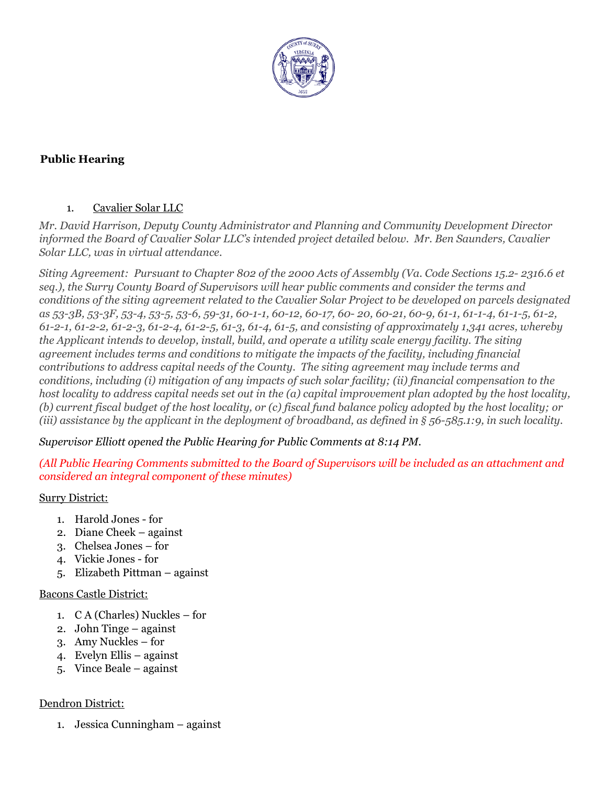

## **Public Hearing**

#### 1. Cavalier Solar LLC

*Mr. David Harrison, Deputy County Administrator and Planning and Community Development Director informed the Board of Cavalier Solar LLC's intended project detailed below. Mr. Ben Saunders, Cavalier Solar LLC, was in virtual attendance.* 

*Siting Agreement: Pursuant to Chapter 802 of the 2000 Acts of Assembly (Va. Code Sections 15.2- 2316.6 et seq.), the Surry County Board of Supervisors will hear public comments and consider the terms and conditions of the siting agreement related to the Cavalier Solar Project to be developed on parcels designated as 53-3B, 53-3F, 53-4, 53-5, 53-6, 59-31, 60-1-1, 60-12, 60-17, 60- 20, 60-21, 60-9, 61-1, 61-1-4, 61-1-5, 61-2, 61-2-1, 61-2-2, 61-2-3, 61-2-4, 61-2-5, 61-3, 61-4, 61-5, and consisting of approximately 1,341 acres, whereby the Applicant intends to develop, install, build, and operate a utility scale energy facility. The siting agreement includes terms and conditions to mitigate the impacts of the facility, including financial contributions to address capital needs of the County. The siting agreement may include terms and conditions, including (i) mitigation of any impacts of such solar facility; (ii) financial compensation to the host locality to address capital needs set out in the (a) capital improvement plan adopted by the host locality, (b) current fiscal budget of the host locality, or (c) fiscal fund balance policy adopted by the host locality; or (iii) assistance by the applicant in the deployment of broadband, as defined in § 56-585.1:9, in such locality.*

*Supervisor Elliott opened the Public Hearing for Public Comments at 8:14 PM.*

*(All Public Hearing Comments submitted to the Board of Supervisors will be included as an attachment and considered an integral component of these minutes)*

#### Surry District:

- 1. Harold Jones for
- 2. Diane Cheek against
- 3. Chelsea Jones for
- 4. Vickie Jones for
- 5. Elizabeth Pittman against

#### Bacons Castle District:

- 1. C A (Charles) Nuckles for
- 2. John Tinge against
- 3. Amy Nuckles for
- 4. Evelyn Ellis against
- 5. Vince Beale against

#### Dendron District:

1. Jessica Cunningham – against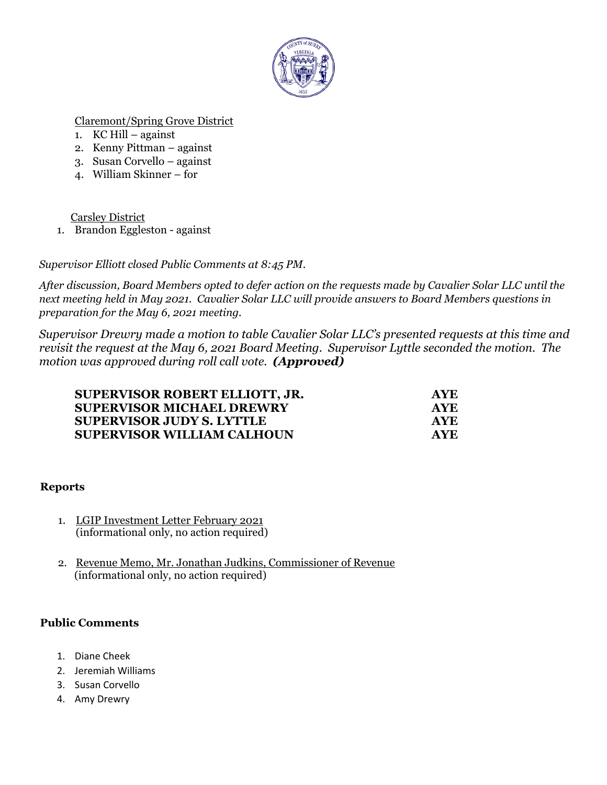

### Claremont/Spring Grove District

- 1.  $KC Hill against$
- 2. Kenny Pittman against
- 3. Susan Corvello against
- 4. William Skinner for

Carsley District

1. Brandon Eggleston - against

*Supervisor Elliott closed Public Comments at 8:45 PM.*

*After discussion, Board Members opted to defer action on the requests made by Cavalier Solar LLC until the next meeting held in May 2021. Cavalier Solar LLC will provide answers to Board Members questions in preparation for the May 6, 2021 meeting.*

*Supervisor Drewry made a motion to table Cavalier Solar LLC's presented requests at this time and revisit the request at the May 6, 2021 Board Meeting. Supervisor Lyttle seconded the motion. The motion was approved during roll call vote. (Approved)* 

| <b>SUPERVISOR ROBERT ELLIOTT, JR.</b> | <b>AYE</b> |
|---------------------------------------|------------|
| <b>SUPERVISOR MICHAEL DREWRY</b>      | <b>AYE</b> |
| <b>SUPERVISOR JUDY S. LYTTLE</b>      | <b>AYE</b> |
| SUPERVISOR WILLIAM CALHOUN            | <b>AYE</b> |

#### **Reports**

- 1. LGIP Investment Letter February 2021 (informational only, no action required)
- 2. Revenue Memo, Mr. Jonathan Judkins, Commissioner of Revenue (informational only, no action required)

#### **Public Comments**

- 1. Diane Cheek
- 2. Jeremiah Williams
- 3. Susan Corvello
- 4. Amy Drewry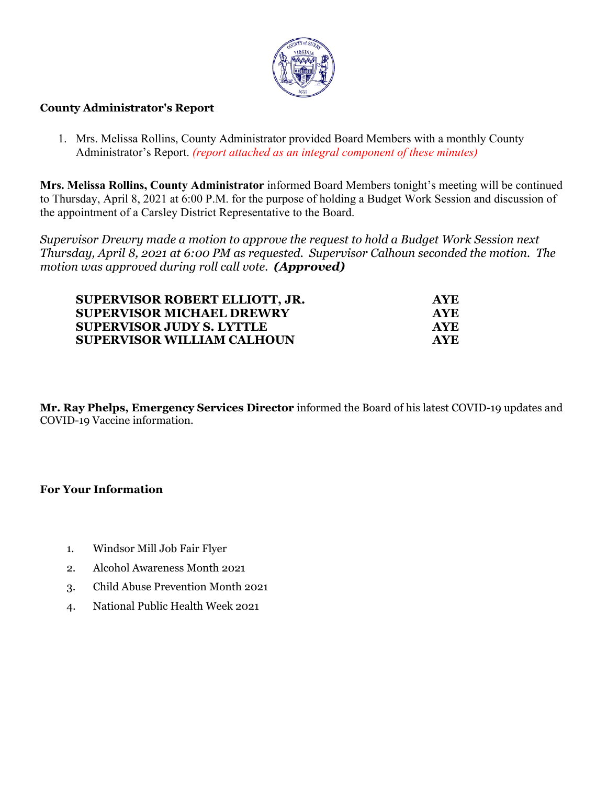

#### **County Administrator's Report**

1. Mrs. Melissa Rollins, County Administrator provided Board Members with a monthly County Administrator's Report. *(report attached as an integral component of these minutes)*

**Mrs. Melissa Rollins, County Administrator** informed Board Members tonight's meeting will be continued to Thursday, April 8, 2021 at 6:00 P.M. for the purpose of holding a Budget Work Session and discussion of the appointment of a Carsley District Representative to the Board.

*Supervisor Drewry made a motion to approve the request to hold a Budget Work Session next Thursday, April 8, 2021 at 6:00 PM as requested. Supervisor Calhoun seconded the motion. The motion was approved during roll call vote. (Approved)* 

| <b>SUPERVISOR ROBERT ELLIOTT, JR.</b> | <b>AYE</b> |
|---------------------------------------|------------|
| <b>SUPERVISOR MICHAEL DREWRY</b>      | <b>AYE</b> |
| <b>SUPERVISOR JUDY S. LYTTLE</b>      | <b>AYE</b> |
| SUPERVISOR WILLIAM CALHOUN            | <b>AYE</b> |

**Mr. Ray Phelps, Emergency Services Director** informed the Board of his latest COVID-19 updates and COVID-19 Vaccine information.

#### **For Your Information**

- 1. Windsor Mill Job Fair Flyer
- 2. Alcohol Awareness Month 2021
- 3. Child Abuse Prevention Month 2021
- 4. National Public Health Week 2021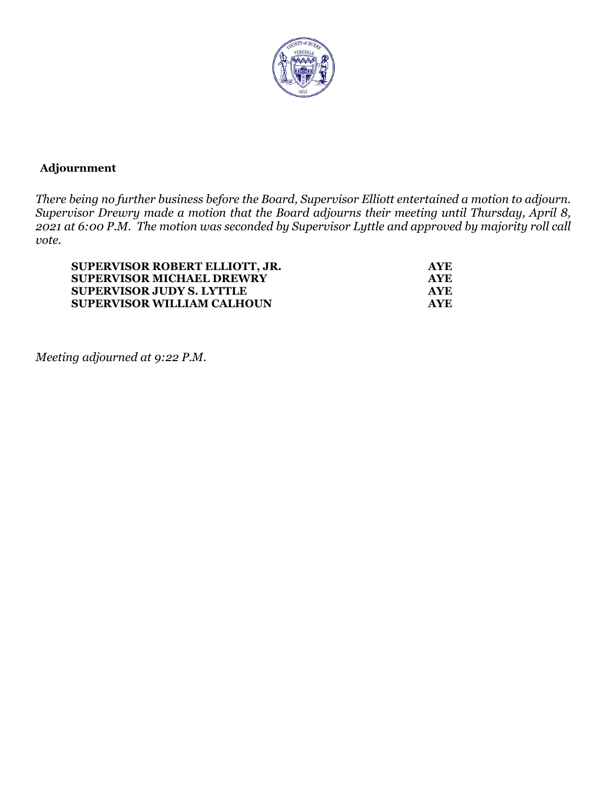

## **Adjournment**

*There being no further business before the Board, Supervisor Elliott entertained a motion to adjourn. Supervisor Drewry made a motion that the Board adjourns their meeting until Thursday, April 8, 2021 at 6:00 P.M. The motion was seconded by Supervisor Lyttle and approved by majority roll call vote.* 

| SUPERVISOR ROBERT ELLIOTT, JR.    | <b>AYE</b> |
|-----------------------------------|------------|
| <b>SUPERVISOR MICHAEL DREWRY</b>  | <b>AYE</b> |
| <b>SUPERVISOR JUDY S. LYTTLE</b>  | <b>AYE</b> |
| <b>SUPERVISOR WILLIAM CALHOUN</b> | <b>AYE</b> |

*Meeting adjourned at 9:22 P.M.*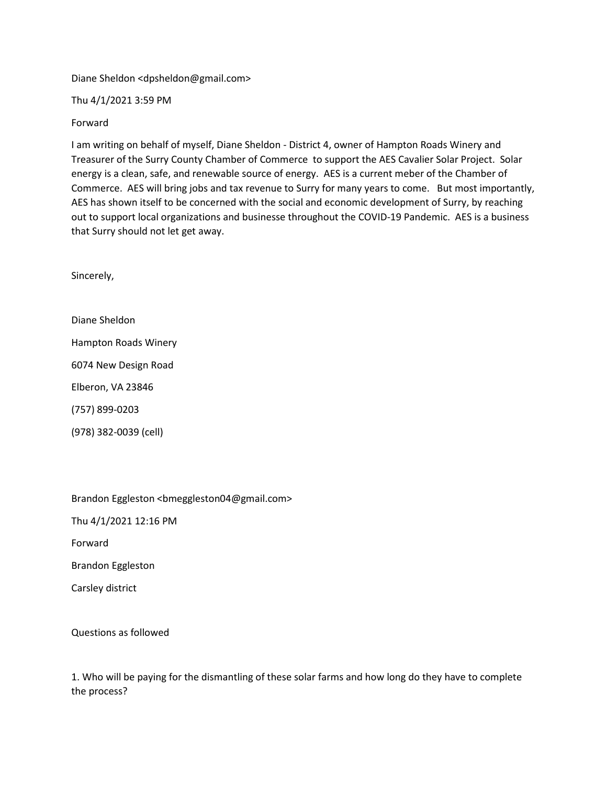Diane Sheldon <dpsheldon@gmail.com>

Thu 4/1/2021 3:59 PM

#### Forward

I am writing on behalf of myself, Diane Sheldon - District 4, owner of Hampton Roads Winery and Treasurer of the Surry County Chamber of Commerce to support the AES Cavalier Solar Project. Solar energy is a clean, safe, and renewable source of energy. AES is a current meber of the Chamber of Commerce. AES will bring jobs and tax revenue to Surry for many years to come. But most importantly, AES has shown itself to be concerned with the social and economic development of Surry, by reaching out to support local organizations and businesse throughout the COVID-19 Pandemic. AES is a business that Surry should not let get away.

Sincerely,

Diane Sheldon Hampton Roads Winery 6074 New Design Road Elberon, VA 23846 (757) 899-0203

(978) 382-0039 (cell)

Brandon Eggleston <br/>bmeggleston04@gmail.com>

Thu 4/1/2021 12:16 PM

Forward

Brandon Eggleston

Carsley district

Questions as followed

1. Who will be paying for the dismantling of these solar farms and how long do they have to complete the process?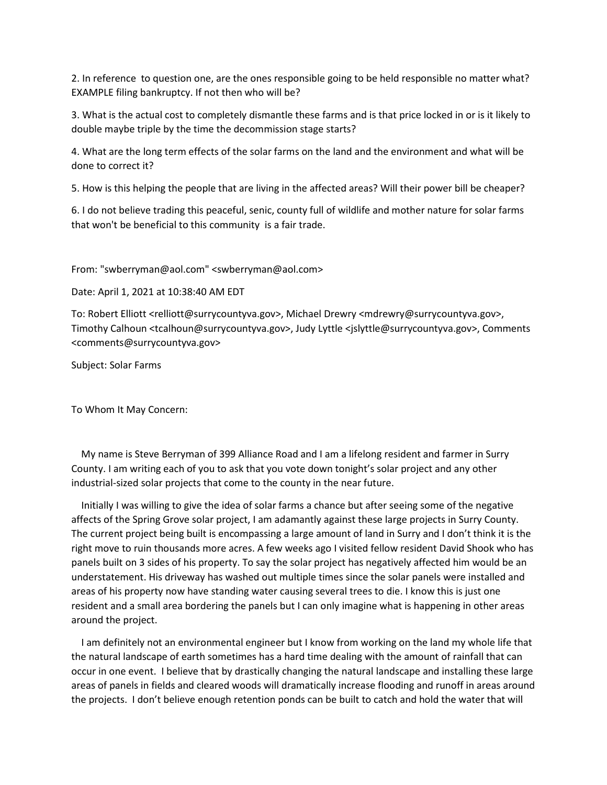2. In reference to question one, are the ones responsible going to be held responsible no matter what? EXAMPLE filing bankruptcy. If not then who will be?

3. What is the actual cost to completely dismantle these farms and is that price locked in or is it likely to double maybe triple by the time the decommission stage starts?

4. What are the long term effects of the solar farms on the land and the environment and what will be done to correct it?

5. How is this helping the people that are living in the affected areas? Will their power bill be cheaper?

6. I do not believe trading this peaceful, senic, county full of wildlife and mother nature for solar farms that won't be beneficial to this community is a fair trade.

From: "swberryman@aol.com" <swberryman@aol.com>

Date: April 1, 2021 at 10:38:40 AM EDT

To: Robert Elliott <relliott@surrycountyva.gov>, Michael Drewry <mdrewry@surrycountyva.gov>, Timothy Calhoun <tcalhoun@surrycountyva.gov>, Judy Lyttle <jslyttle@surrycountyva.gov>, Comments <comments@surrycountyva.gov>

Subject: Solar Farms

To Whom It May Concern:

 My name is Steve Berryman of 399 Alliance Road and I am a lifelong resident and farmer in Surry County. I am writing each of you to ask that you vote down tonight's solar project and any other industrial-sized solar projects that come to the county in the near future.

 Initially I was willing to give the idea of solar farms a chance but after seeing some of the negative affects of the Spring Grove solar project, I am adamantly against these large projects in Surry County. The current project being built is encompassing a large amount of land in Surry and I don't think it is the right move to ruin thousands more acres. A few weeks ago I visited fellow resident David Shook who has panels built on 3 sides of his property. To say the solar project has negatively affected him would be an understatement. His driveway has washed out multiple times since the solar panels were installed and areas of his property now have standing water causing several trees to die. I know this is just one resident and a small area bordering the panels but I can only imagine what is happening in other areas around the project.

 I am definitely not an environmental engineer but I know from working on the land my whole life that the natural landscape of earth sometimes has a hard time dealing with the amount of rainfall that can occur in one event. I believe that by drastically changing the natural landscape and installing these large areas of panels in fields and cleared woods will dramatically increase flooding and runoff in areas around the projects. I don't believe enough retention ponds can be built to catch and hold the water that will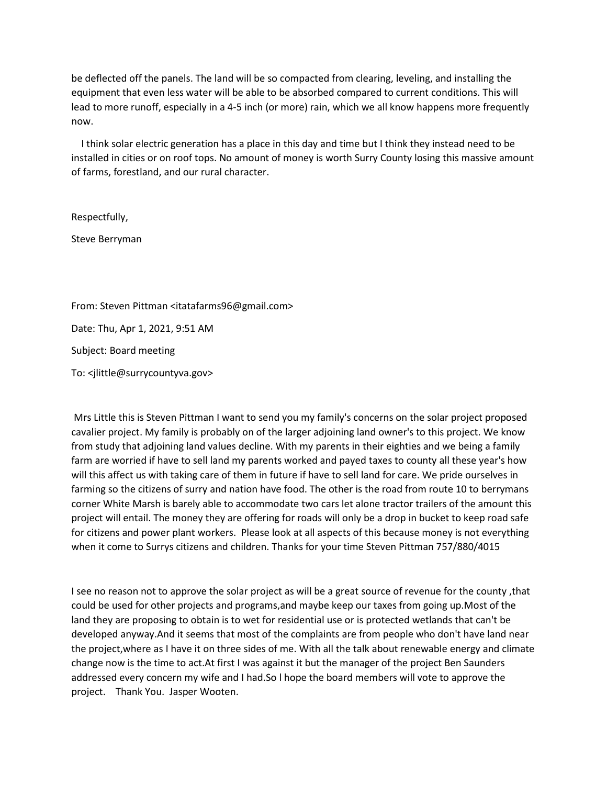be deflected off the panels. The land will be so compacted from clearing, leveling, and installing the equipment that even less water will be able to be absorbed compared to current conditions. This will lead to more runoff, especially in a 4-5 inch (or more) rain, which we all know happens more frequently now.

 I think solar electric generation has a place in this day and time but I think they instead need to be installed in cities or on roof tops. No amount of money is worth Surry County losing this massive amount of farms, forestland, and our rural character.

Respectfully,

Steve Berryman

From: Steven Pittman <itatafarms96@gmail.com> Date: Thu, Apr 1, 2021, 9:51 AM Subject: Board meeting To: <jlittle@surrycountyva.gov>

Mrs Little this is Steven Pittman I want to send you my family's concerns on the solar project proposed cavalier project. My family is probably on of the larger adjoining land owner's to this project. We know from study that adjoining land values decline. With my parents in their eighties and we being a family farm are worried if have to sell land my parents worked and payed taxes to county all these year's how will this affect us with taking care of them in future if have to sell land for care. We pride ourselves in farming so the citizens of surry and nation have food. The other is the road from route 10 to berrymans corner White Marsh is barely able to accommodate two cars let alone tractor trailers of the amount this project will entail. The money they are offering for roads will only be a drop in bucket to keep road safe for citizens and power plant workers. Please look at all aspects of this because money is not everything when it come to Surrys citizens and children. Thanks for your time Steven Pittman 757/880/4015

I see no reason not to approve the solar project as will be a great source of revenue for the county ,that could be used for other projects and programs,and maybe keep our taxes from going up.Most of the land they are proposing to obtain is to wet for residential use or is protected wetlands that can't be developed anyway.And it seems that most of the complaints are from people who don't have land near the project,where as I have it on three sides of me. With all the talk about renewable energy and climate change now is the time to act.At first I was against it but the manager of the project Ben Saunders addressed every concern my wife and I had.So l hope the board members will vote to approve the project. Thank You. Jasper Wooten.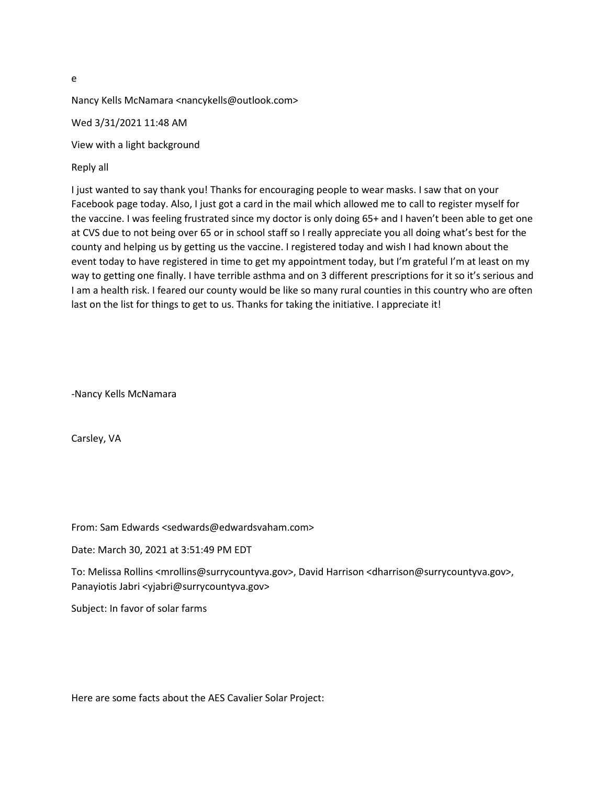e

Nancy Kells McNamara <nancykells@outlook.com>

Wed 3/31/2021 11:48 AM

View with a light background

Reply all

I just wanted to say thank you! Thanks for encouraging people to wear masks. I saw that on your Facebook page today. Also, I just got a card in the mail which allowed me to call to register myself for the vaccine. I was feeling frustrated since my doctor is only doing 65+ and I haven't been able to get one at CVS due to not being over 65 or in school staff so I really appreciate you all doing what's best for the county and helping us by getting us the vaccine. I registered today and wish I had known about the event today to have registered in time to get my appointment today, but I'm grateful I'm at least on my way to getting one finally. I have terrible asthma and on 3 different prescriptions for it so it's serious and I am a health risk. I feared our county would be like so many rural counties in this country who are often last on the list for things to get to us. Thanks for taking the initiative. I appreciate it!

-Nancy Kells McNamara

Carsley, VA

From: Sam Edwards <sedwards@edwardsvaham.com>

Date: March 30, 2021 at 3:51:49 PM EDT

To: Melissa Rollins <mrollins@surrycountyva.gov>, David Harrison <dharrison@surrycountyva.gov>, Panayiotis Jabri <yjabri@surrycountyva.gov>

Subject: In favor of solar farms

Here are some facts about the AES Cavalier Solar Project: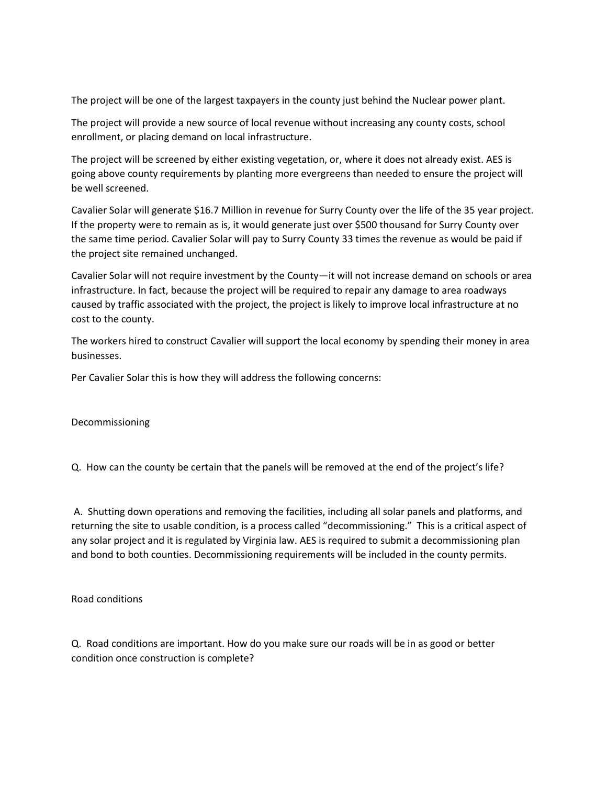The project will be one of the largest taxpayers in the county just behind the Nuclear power plant.

The project will provide a new source of local revenue without increasing any county costs, school enrollment, or placing demand on local infrastructure.

The project will be screened by either existing vegetation, or, where it does not already exist. AES is going above county requirements by planting more evergreens than needed to ensure the project will be well screened.

Cavalier Solar will generate \$16.7 Million in revenue for Surry County over the life of the 35 year project. If the property were to remain as is, it would generate just over \$500 thousand for Surry County over the same time period. Cavalier Solar will pay to Surry County 33 times the revenue as would be paid if the project site remained unchanged.

Cavalier Solar will not require investment by the County—it will not increase demand on schools or area infrastructure. In fact, because the project will be required to repair any damage to area roadways caused by traffic associated with the project, the project is likely to improve local infrastructure at no cost to the county.

The workers hired to construct Cavalier will support the local economy by spending their money in area businesses.

Per Cavalier Solar this is how they will address the following concerns:

Decommissioning

Q. How can the county be certain that the panels will be removed at the end of the project's life?

A. Shutting down operations and removing the facilities, including all solar panels and platforms, and returning the site to usable condition, is a process called "decommissioning." This is a critical aspect of any solar project and it is regulated by Virginia law. AES is required to submit a decommissioning plan and bond to both counties. Decommissioning requirements will be included in the county permits.

Road conditions

Q. Road conditions are important. How do you make sure our roads will be in as good or better condition once construction is complete?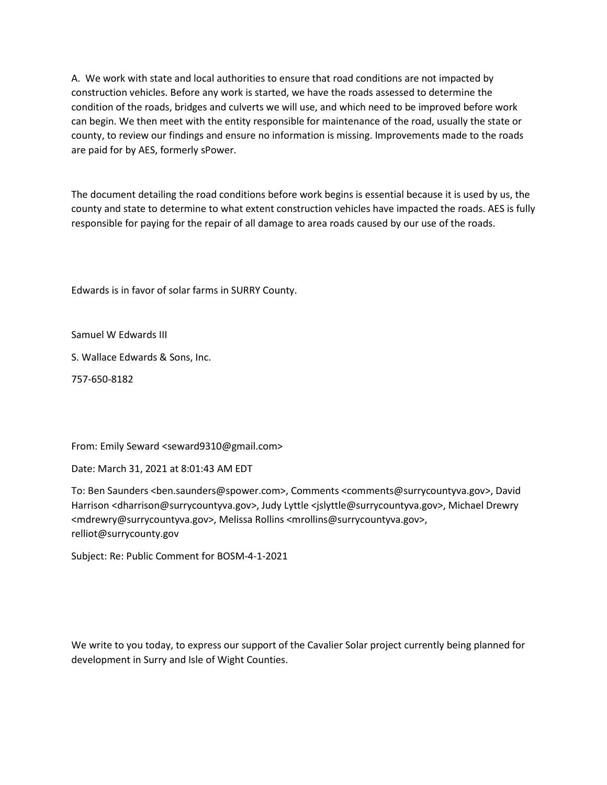A. We work with state and local authorities to ensure that road conditions are not impacted by construction vehicles. Before any work is started, we have the roads assessed to determine the condition of the roads, bridges and culverts we will use, and which need to be improved before work can begin. We then meet with the entity responsible for maintenance of the road, usually the state or county, to review our findings and ensure no information is missing. Improvements made to the roads are paid for by AES, formerly sPower.

The document detailing the road conditions before work begins is essential because it is used by us, the county and state to determine to what extent construction vehicles have impacted the roads. AES is fully responsible for paying for the repair of all damage to area roads caused by our use of the roads.

Edwards is in favor of solar farms in SURRY County.

Samuel W Edwards III

S. Wallace Edwards & Sons, Inc.

757-650-8182

From: Emily Seward <seward9310@gmail.com>

Date: March 31, 2021 at 8:01:43 AM EDT

To: Ben Saunders <ben.saunders@spower.com>, Comments <comments@surrycountyva.gov>, David Harrison <dharrison@surrycountyva.gov>, Judy Lyttle <jslyttle@surrycountyva.gov>, Michael Drewry <mdrewry@surrycountyva.gov>, Melissa Rollins <mrollins@surrycountyva.gov>, relliot@surrycounty.gov

Subject: Re: Public Comment for BOSM-4-1-2021

We write to you today, to express our support of the Cavalier Solar project currently being planned for development in Surry and Isle of Wight Counties.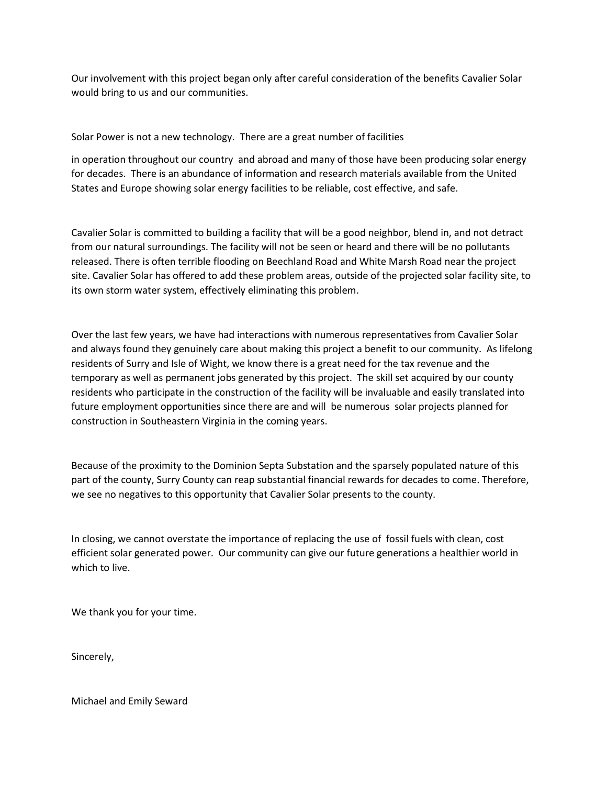Our involvement with this project began only after careful consideration of the benefits Cavalier Solar would bring to us and our communities.

Solar Power is not a new technology. There are a great number of facilities

in operation throughout our country and abroad and many of those have been producing solar energy for decades. There is an abundance of information and research materials available from the United States and Europe showing solar energy facilities to be reliable, cost effective, and safe.

Cavalier Solar is committed to building a facility that will be a good neighbor, blend in, and not detract from our natural surroundings. The facility will not be seen or heard and there will be no pollutants released. There is often terrible flooding on Beechland Road and White Marsh Road near the project site. Cavalier Solar has offered to add these problem areas, outside of the projected solar facility site, to its own storm water system, effectively eliminating this problem.

Over the last few years, we have had interactions with numerous representatives from Cavalier Solar and always found they genuinely care about making this project a benefit to our community. As lifelong residents of Surry and Isle of Wight, we know there is a great need for the tax revenue and the temporary as well as permanent jobs generated by this project. The skill set acquired by our county residents who participate in the construction of the facility will be invaluable and easily translated into future employment opportunities since there are and will be numerous solar projects planned for construction in Southeastern Virginia in the coming years.

Because of the proximity to the Dominion Septa Substation and the sparsely populated nature of this part of the county, Surry County can reap substantial financial rewards for decades to come. Therefore, we see no negatives to this opportunity that Cavalier Solar presents to the county.

In closing, we cannot overstate the importance of replacing the use of fossil fuels with clean, cost efficient solar generated power. Our community can give our future generations a healthier world in which to live.

We thank you for your time.

Sincerely,

Michael and Emily Seward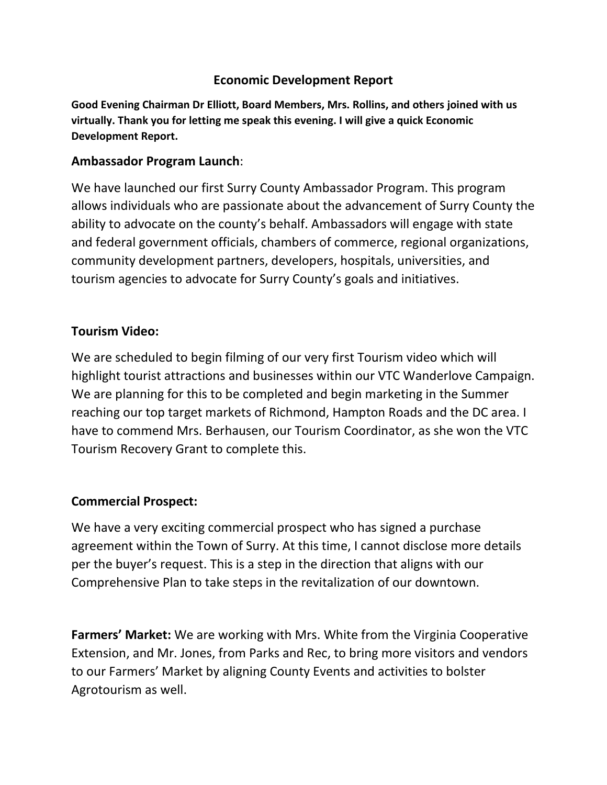## **Economic Development Report**

**Good Evening Chairman Dr Elliott, Board Members, Mrs. Rollins, and others joined with us virtually. Thank you for letting me speak this evening. I will give a quick Economic Development Report.** 

## **Ambassador Program Launch**:

We have launched our first Surry County Ambassador Program. This program allows individuals who are passionate about the advancement of Surry County the ability to advocate on the county's behalf. Ambassadors will engage with state and federal government officials, chambers of commerce, regional organizations, community development partners, developers, hospitals, universities, and tourism agencies to advocate for Surry County's goals and initiatives.

## **Tourism Video:**

We are scheduled to begin filming of our very first Tourism video which will highlight tourist attractions and businesses within our VTC Wanderlove Campaign. We are planning for this to be completed and begin marketing in the Summer reaching our top target markets of Richmond, Hampton Roads and the DC area. I have to commend Mrs. Berhausen, our Tourism Coordinator, as she won the VTC Tourism Recovery Grant to complete this.

## **Commercial Prospect:**

We have a very exciting commercial prospect who has signed a purchase agreement within the Town of Surry. At this time, I cannot disclose more details per the buyer's request. This is a step in the direction that aligns with our Comprehensive Plan to take steps in the revitalization of our downtown.

**Farmers' Market:** We are working with Mrs. White from the Virginia Cooperative Extension, and Mr. Jones, from Parks and Rec, to bring more visitors and vendors to our Farmers' Market by aligning County Events and activities to bolster Agrotourism as well.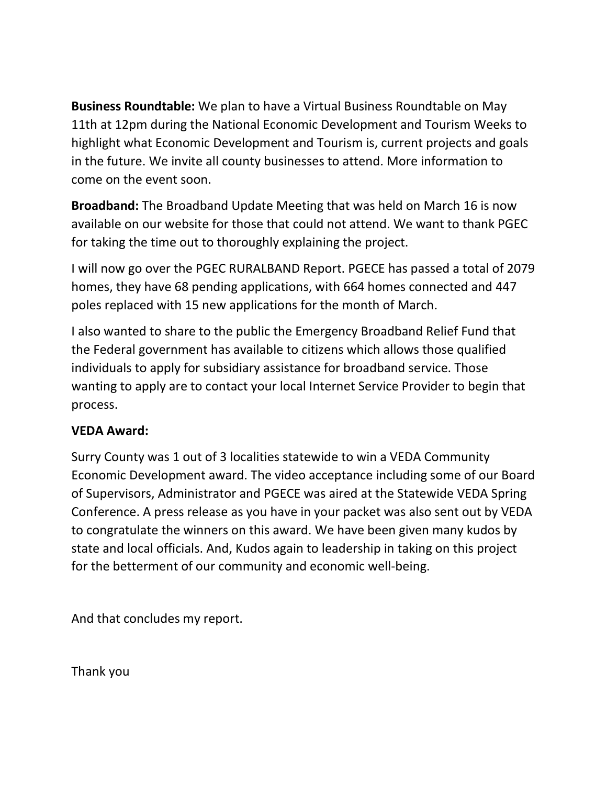**Business Roundtable:** We plan to have a Virtual Business Roundtable on May 11th at 12pm during the National Economic Development and Tourism Weeks to highlight what Economic Development and Tourism is, current projects and goals in the future. We invite all county businesses to attend. More information to come on the event soon.

**Broadband:** The Broadband Update Meeting that was held on March 16 is now available on our website for those that could not attend. We want to thank PGEC for taking the time out to thoroughly explaining the project.

I will now go over the PGEC RURALBAND Report. PGECE has passed a total of 2079 homes, they have 68 pending applications, with 664 homes connected and 447 poles replaced with 15 new applications for the month of March.

I also wanted to share to the public the Emergency Broadband Relief Fund that the Federal government has available to citizens which allows those qualified individuals to apply for subsidiary assistance for broadband service. Those wanting to apply are to contact your local Internet Service Provider to begin that process.

# **VEDA Award:**

Surry County was 1 out of 3 localities statewide to win a VEDA Community Economic Development award. The video acceptance including some of our Board of Supervisors, Administrator and PGECE was aired at the Statewide VEDA Spring Conference. A press release as you have in your packet was also sent out by VEDA to congratulate the winners on this award. We have been given many kudos by state and local officials. And, Kudos again to leadership in taking on this project for the betterment of our community and economic well-being.

And that concludes my report.

Thank you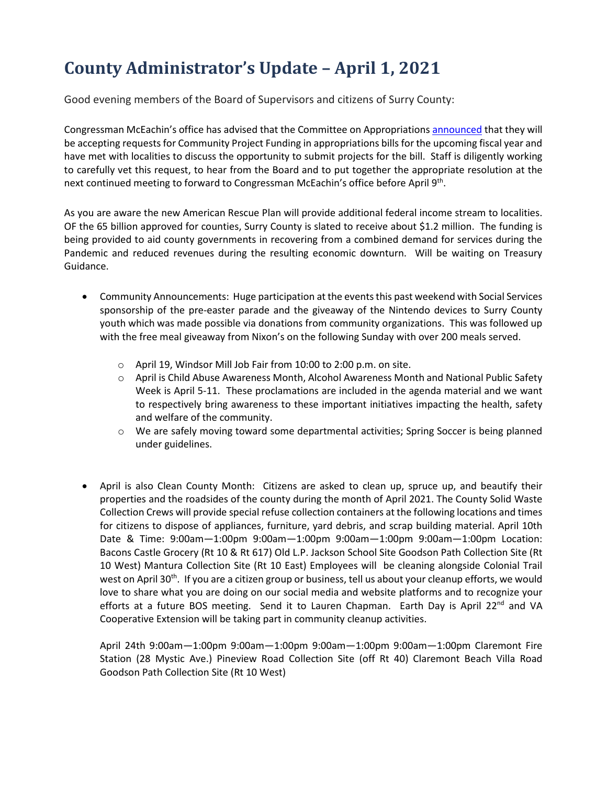# **County Administrator's Update – April 1, 2021**

Good evening members of the Board of Supervisors and citizens of Surry County:

Congressman McEachin's office has advised that the Committee on Appropriations [announced](https://appropriations.house.gov/news/press-releases/delauro-announces-community-project-funding-in-fiscal-year-2022) that they will be accepting requests for Community Project Funding in appropriations bills for the upcoming fiscal year and have met with localities to discuss the opportunity to submit projects for the bill. Staff is diligently working to carefully vet this request, to hear from the Board and to put together the appropriate resolution at the next continued meeting to forward to Congressman McEachin's office before April 9th.

As you are aware the new American Rescue Plan will provide additional federal income stream to localities. OF the 65 billion approved for counties, Surry County is slated to receive about \$1.2 million. The funding is being provided to aid county governments in recovering from a combined demand for services during the Pandemic and reduced revenues during the resulting economic downturn. Will be waiting on Treasury Guidance.

- Community Announcements: Huge participation at the events this past weekend with Social Services sponsorship of the pre-easter parade and the giveaway of the Nintendo devices to Surry County youth which was made possible via donations from community organizations. This was followed up with the free meal giveaway from Nixon's on the following Sunday with over 200 meals served.
	- o April 19, Windsor Mill Job Fair from 10:00 to 2:00 p.m. on site.
	- o April is Child Abuse Awareness Month, Alcohol Awareness Month and National Public Safety Week is April 5-11. These proclamations are included in the agenda material and we want to respectively bring awareness to these important initiatives impacting the health, safety and welfare of the community.
	- o We are safely moving toward some departmental activities; Spring Soccer is being planned under guidelines.
- April is also Clean County Month: Citizens are asked to clean up, spruce up, and beautify their properties and the roadsides of the county during the month of April 2021. The County Solid Waste Collection Crews will provide special refuse collection containers at the following locations and times for citizens to dispose of appliances, furniture, yard debris, and scrap building material. April 10th Date & Time: 9:00am—1:00pm 9:00am—1:00pm 9:00am—1:00pm 9:00am—1:00pm Location: Bacons Castle Grocery (Rt 10 & Rt 617) Old L.P. Jackson School Site Goodson Path Collection Site (Rt 10 West) Mantura Collection Site (Rt 10 East) Employees will be cleaning alongside Colonial Trail west on April 30<sup>th</sup>. If you are a citizen group or business, tell us about your cleanup efforts, we would love to share what you are doing on our social media and website platforms and to recognize your efforts at a future BOS meeting. Send it to Lauren Chapman. Earth Day is April 22<sup>nd</sup> and VA Cooperative Extension will be taking part in community cleanup activities.

April 24th 9:00am—1:00pm 9:00am—1:00pm 9:00am—1:00pm 9:00am—1:00pm Claremont Fire Station (28 Mystic Ave.) Pineview Road Collection Site (off Rt 40) Claremont Beach Villa Road Goodson Path Collection Site (Rt 10 West)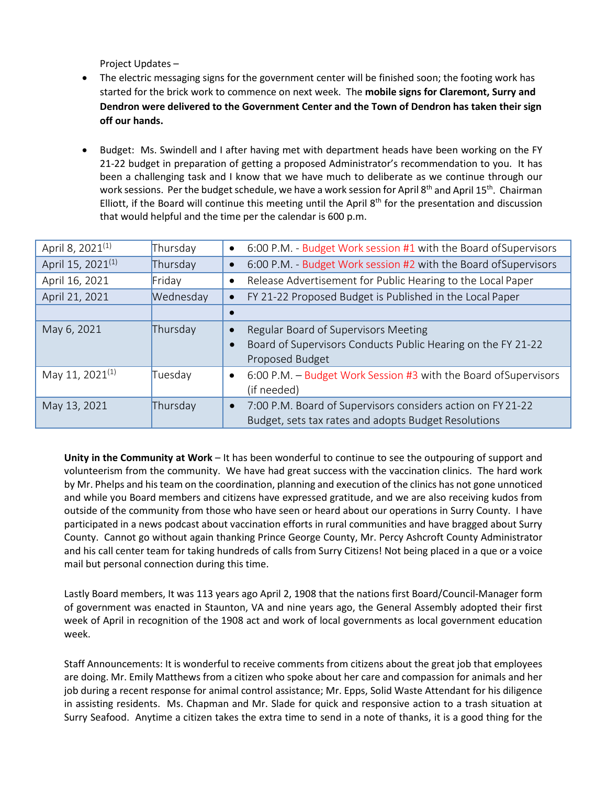Project Updates –

- The electric messaging signs for the government center will be finished soon; the footing work has started for the brick work to commence on next week. The **mobile signs for Claremont, Surry and Dendron were delivered to the Government Center and the Town of Dendron has taken their sign off our hands.**
- Budget: Ms. Swindell and I after having met with department heads have been working on the FY 21-22 budget in preparation of getting a proposed Administrator's recommendation to you. It has been a challenging task and I know that we have much to deliberate as we continue through our work sessions. Per the budget schedule, we have a work session for April 8<sup>th</sup> and April 15<sup>th</sup>. Chairman Elliott, if the Board will continue this meeting until the April  $8<sup>th</sup>$  for the presentation and discussion that would helpful and the time per the calendar is 600 p.m.

| April 8, 2021 <sup>(1)</sup>  | Thursday  | 6:00 P.M. - Budget Work session #1 with the Board of Supervisors<br>$\bullet$                                                                     |
|-------------------------------|-----------|---------------------------------------------------------------------------------------------------------------------------------------------------|
| April 15, 2021 <sup>(1)</sup> | Thursday  | 6:00 P.M. - Budget Work session #2 with the Board of Supervisors                                                                                  |
| April 16, 2021                | Friday    | Release Advertisement for Public Hearing to the Local Paper<br>$\bullet$                                                                          |
| April 21, 2021                | Wednesday | FY 21-22 Proposed Budget is Published in the Local Paper                                                                                          |
|                               |           |                                                                                                                                                   |
| May 6, 2021                   | Thursday  | Regular Board of Supervisors Meeting<br>$\bullet$<br>Board of Supervisors Conducts Public Hearing on the FY 21-22<br>$\bullet$<br>Proposed Budget |
| May 11, 2021 <sup>(1)</sup>   | Tuesday   | 6:00 P.M. - Budget Work Session #3 with the Board of Supervisors<br>$\bullet$<br>(if needed)                                                      |
| May 13, 2021                  | Thursday  | 7:00 P.M. Board of Supervisors considers action on FY 21-22<br>$\bullet$<br>Budget, sets tax rates and adopts Budget Resolutions                  |

**Unity in the Community at Work** – It has been wonderful to continue to see the outpouring of support and volunteerism from the community. We have had great success with the vaccination clinics. The hard work by Mr. Phelps and his team on the coordination, planning and execution of the clinics has not gone unnoticed and while you Board members and citizens have expressed gratitude, and we are also receiving kudos from outside of the community from those who have seen or heard about our operations in Surry County. I have participated in a news podcast about vaccination efforts in rural communities and have bragged about Surry County. Cannot go without again thanking Prince George County, Mr. Percy Ashcroft County Administrator and his call center team for taking hundreds of calls from Surry Citizens! Not being placed in a que or a voice mail but personal connection during this time.

Lastly Board members, It was 113 years ago April 2, 1908 that the nations first Board/Council-Manager form of government was enacted in Staunton, VA and nine years ago, the General Assembly adopted their first week of April in recognition of the 1908 act and work of local governments as local government education week.

Staff Announcements: It is wonderful to receive comments from citizens about the great job that employees are doing. Mr. Emily Matthews from a citizen who spoke about her care and compassion for animals and her job during a recent response for animal control assistance; Mr. Epps, Solid Waste Attendant for his diligence in assisting residents. Ms. Chapman and Mr. Slade for quick and responsive action to a trash situation at Surry Seafood. Anytime a citizen takes the extra time to send in a note of thanks, it is a good thing for the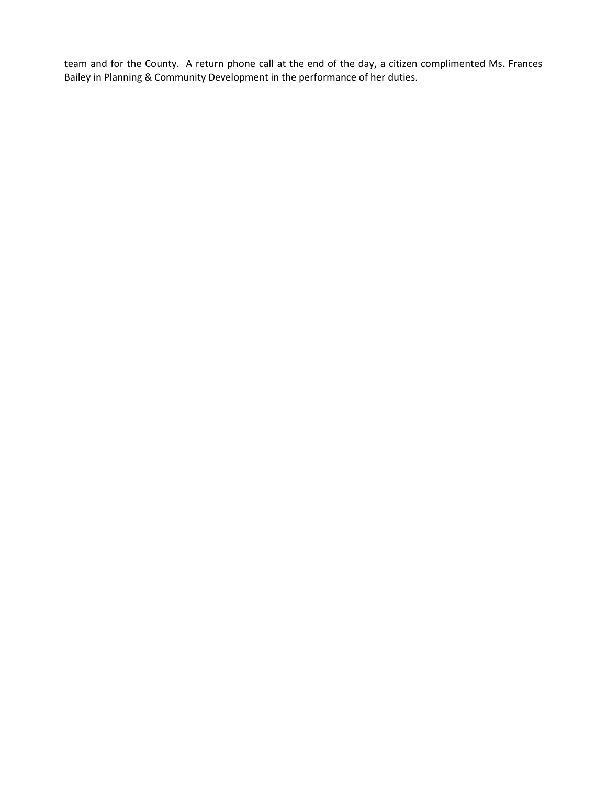team and for the County. A return phone call at the end of the day, a citizen complimented Ms. Frances Bailey in Planning & Community Development in the performance of her duties.